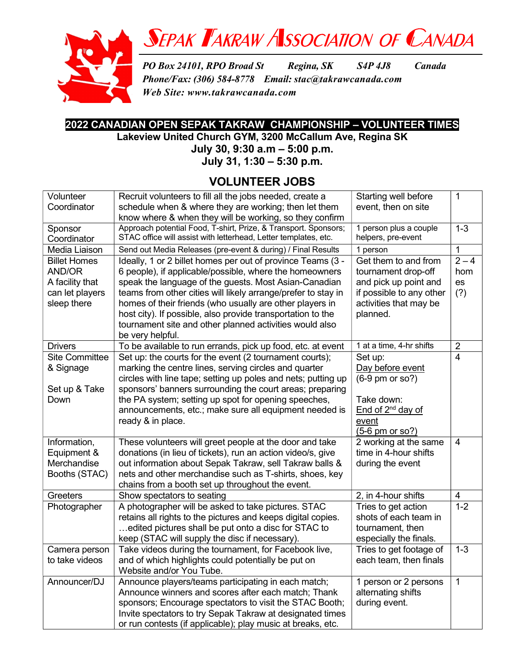

## SEPAK TAKRAW ASSOCIATION OF CANADA

PO Box 24101, RPO Broad St Regina, SK S4P 4J8 Canada Phone/Fax: (306) 584-8778 Email: stac@takrawcanada.com Web Site: www.takrawcanada.com

## 2022 CANADIAN OPEN SEPAK TAKRAW CHAMPIONSHIP – VOLUNTEER TIMES

Lakeview United Church GYM, 3200 McCallum Ave, Regina SK

July 30, 9:30 a.m – 5:00 p.m.

July 31, 1:30 – 5:30 p.m.

### VOLUNTEER JOBS

| Volunteer           | Recruit volunteers to fill all the jobs needed, create a        | Starting well before          | $\mathbf 1$    |
|---------------------|-----------------------------------------------------------------|-------------------------------|----------------|
| Coordinator         | schedule when & where they are working; then let them           | event, then on site           |                |
|                     | know where & when they will be working, so they confirm         |                               |                |
| Sponsor             | Approach potential Food, T-shirt, Prize, & Transport. Sponsors; | 1 person plus a couple        | $1 - 3$        |
| Coordinator         | STAC office will assist with letterhead, Letter templates, etc. | helpers, pre-event            |                |
| Media Liaison       | Send out Media Releases (pre-event & during) / Final Results    | 1 person                      | 1              |
| <b>Billet Homes</b> | Ideally, 1 or 2 billet homes per out of province Teams (3 -     | Get them to and from          | $2 - 4$        |
| AND/OR              | 6 people), if applicable/possible, where the homeowners         | tournament drop-off           | hom            |
| A facility that     | speak the language of the guests. Most Asian-Canadian           | and pick up point and         | es             |
| can let players     | teams from other cities will likely arrange/prefer to stay in   | if possible to any other      | (?)            |
| sleep there         | homes of their friends (who usually are other players in        | activities that may be        |                |
|                     | host city). If possible, also provide transportation to the     | planned.                      |                |
|                     | tournament site and other planned activities would also         |                               |                |
|                     | be very helpful.                                                |                               |                |
| <b>Drivers</b>      | To be available to run errands, pick up food, etc. at event     | 1 at a time, 4-hr shifts      | $\overline{2}$ |
| Site Committee      | Set up: the courts for the event (2 tournament courts);         | Set up:                       | 4              |
| & Signage           | marking the centre lines, serving circles and quarter           | Day before event              |                |
|                     | circles with line tape; setting up poles and nets; putting up   | $(6-9$ pm or so?)             |                |
| Set up & Take       | sponsors' banners surrounding the court areas; preparing        |                               |                |
| Down                | the PA system; setting up spot for opening speeches,            | Take down:                    |                |
|                     | announcements, etc.; make sure all equipment needed is          | End of 2 <sup>nd</sup> day of |                |
|                     | ready & in place.                                               | event                         |                |
|                     |                                                                 | $(5-6)$ pm or so?)            |                |
| Information,        | These volunteers will greet people at the door and take         | 2 working at the same         | 4              |
| Equipment &         | donations (in lieu of tickets), run an action video/s, give     | time in 4-hour shifts         |                |
| Merchandise         | out information about Sepak Takraw, sell Takraw balls &         | during the event              |                |
| Booths (STAC)       | nets and other merchandise such as T-shirts, shoes, key         |                               |                |
|                     | chains from a booth set up throughout the event.                |                               |                |
| Greeters            | Show spectators to seating                                      | 2, in 4-hour shifts           | 4              |
| Photographer        | A photographer will be asked to take pictures. STAC             | Tries to get action           | $1 - 2$        |
|                     | retains all rights to the pictures and keeps digital copies.    | shots of each team in         |                |
|                     | edited pictures shall be put onto a disc for STAC to            | tournament, then              |                |
|                     | keep (STAC will supply the disc if necessary).                  | especially the finals.        |                |
| Camera person       | Take videos during the tournament, for Facebook live,           | Tries to get footage of       | $1 - 3$        |
| to take videos      | and of which highlights could potentially be put on             | each team, then finals        |                |
|                     | Website and/or You Tube.                                        |                               |                |
| Announcer/DJ        | Announce players/teams participating in each match;             | 1 person or 2 persons         | 1              |
|                     | Announce winners and scores after each match; Thank             | alternating shifts            |                |
|                     | sponsors; Encourage spectators to visit the STAC Booth;         | during event.                 |                |
|                     | Invite spectators to try Sepak Takraw at designated times       |                               |                |
|                     | or run contests (if applicable); play music at breaks, etc.     |                               |                |